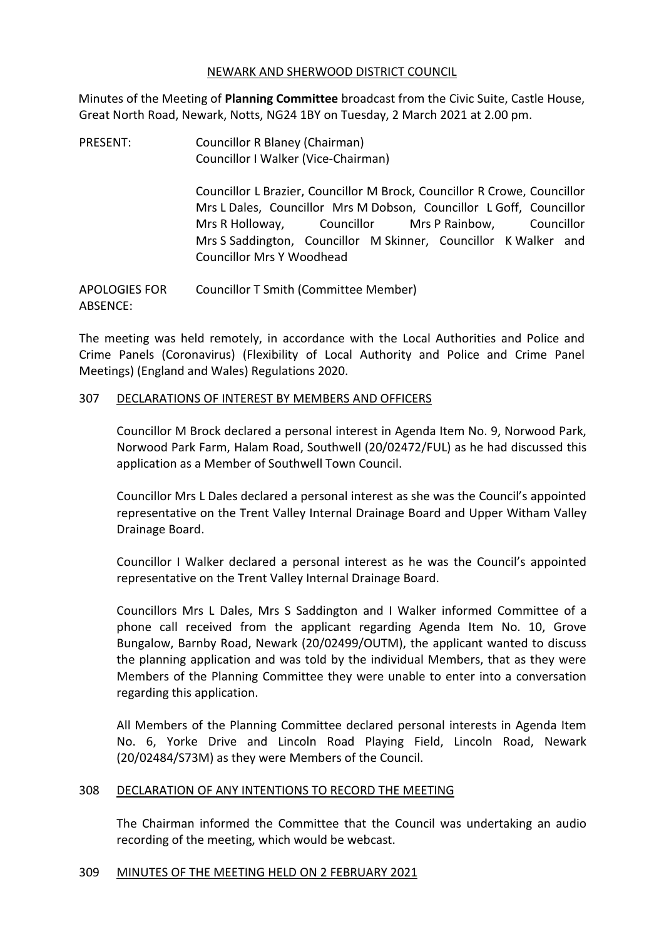### NEWARK AND SHERWOOD DISTRICT COUNCIL

Minutes of the Meeting of **Planning Committee** broadcast from the Civic Suite, Castle House, Great North Road, Newark, Notts, NG24 1BY on Tuesday, 2 March 2021 at 2.00 pm.

PRESENT: Councillor R Blaney (Chairman) Councillor I Walker (Vice-Chairman)

> Councillor L Brazier, Councillor M Brock, Councillor R Crowe, Councillor Mrs L Dales, Councillor Mrs M Dobson, Councillor L Goff, Councillor Mrs R Holloway, Councillor Mrs P Rainbow, Councillor Mrs S Saddington, Councillor M Skinner, Councillor K Walker and Councillor Mrs Y Woodhead

APOLOGIES FOR ABSENCE: Councillor T Smith (Committee Member)

The meeting was held remotely, in accordance with the Local Authorities and Police and Crime Panels (Coronavirus) (Flexibility of Local Authority and Police and Crime Panel Meetings) (England and Wales) Regulations 2020.

## 307 DECLARATIONS OF INTEREST BY MEMBERS AND OFFICERS

Councillor M Brock declared a personal interest in Agenda Item No. 9, Norwood Park, Norwood Park Farm, Halam Road, Southwell (20/02472/FUL) as he had discussed this application as a Member of Southwell Town Council.

Councillor Mrs L Dales declared a personal interest as she was the Council's appointed representative on the Trent Valley Internal Drainage Board and Upper Witham Valley Drainage Board.

Councillor I Walker declared a personal interest as he was the Council's appointed representative on the Trent Valley Internal Drainage Board.

Councillors Mrs L Dales, Mrs S Saddington and I Walker informed Committee of a phone call received from the applicant regarding Agenda Item No. 10, Grove Bungalow, Barnby Road, Newark (20/02499/OUTM), the applicant wanted to discuss the planning application and was told by the individual Members, that as they were Members of the Planning Committee they were unable to enter into a conversation regarding this application.

All Members of the Planning Committee declared personal interests in Agenda Item No. 6, Yorke Drive and Lincoln Road Playing Field, Lincoln Road, Newark (20/02484/S73M) as they were Members of the Council.

## 308 DECLARATION OF ANY INTENTIONS TO RECORD THE MEETING

The Chairman informed the Committee that the Council was undertaking an audio recording of the meeting, which would be webcast.

#### 309 MINUTES OF THE MEETING HELD ON 2 FEBRUARY 2021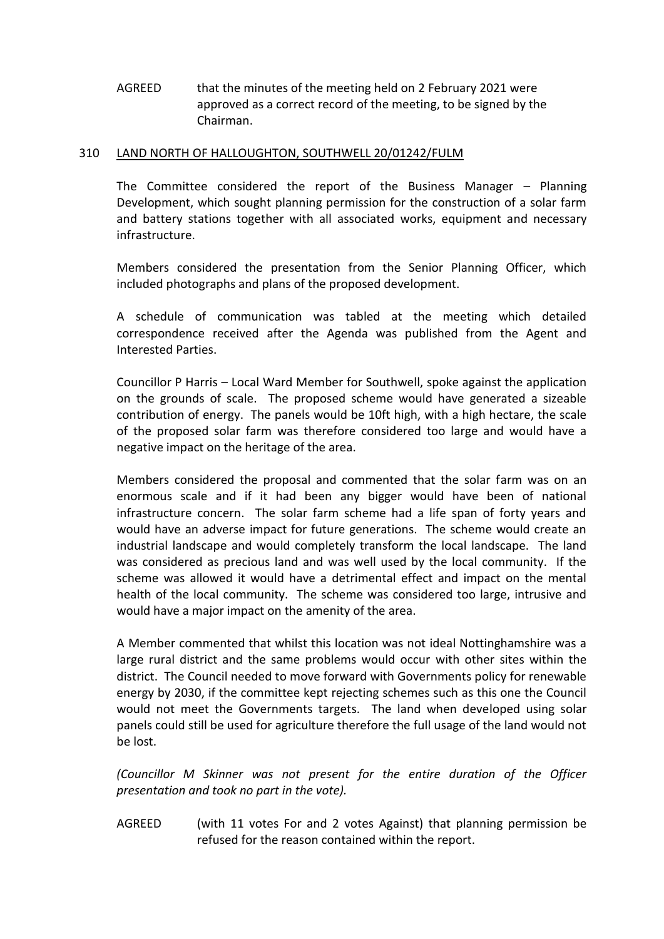# AGREED that the minutes of the meeting held on 2 February 2021 were approved as a correct record of the meeting, to be signed by the Chairman.

### 310 LAND NORTH OF HALLOUGHTON, SOUTHWELL 20/01242/FULM

The Committee considered the report of the Business Manager – Planning Development, which sought planning permission for the construction of a solar farm and battery stations together with all associated works, equipment and necessary infrastructure.

Members considered the presentation from the Senior Planning Officer, which included photographs and plans of the proposed development.

A schedule of communication was tabled at the meeting which detailed correspondence received after the Agenda was published from the Agent and Interested Parties.

Councillor P Harris – Local Ward Member for Southwell, spoke against the application on the grounds of scale. The proposed scheme would have generated a sizeable contribution of energy. The panels would be 10ft high, with a high hectare, the scale of the proposed solar farm was therefore considered too large and would have a negative impact on the heritage of the area.

Members considered the proposal and commented that the solar farm was on an enormous scale and if it had been any bigger would have been of national infrastructure concern. The solar farm scheme had a life span of forty years and would have an adverse impact for future generations. The scheme would create an industrial landscape and would completely transform the local landscape. The land was considered as precious land and was well used by the local community. If the scheme was allowed it would have a detrimental effect and impact on the mental health of the local community. The scheme was considered too large, intrusive and would have a major impact on the amenity of the area.

A Member commented that whilst this location was not ideal Nottinghamshire was a large rural district and the same problems would occur with other sites within the district. The Council needed to move forward with Governments policy for renewable energy by 2030, if the committee kept rejecting schemes such as this one the Council would not meet the Governments targets. The land when developed using solar panels could still be used for agriculture therefore the full usage of the land would not be lost.

*(Councillor M Skinner was not present for the entire duration of the Officer presentation and took no part in the vote).*

AGREED (with 11 votes For and 2 votes Against) that planning permission be refused for the reason contained within the report.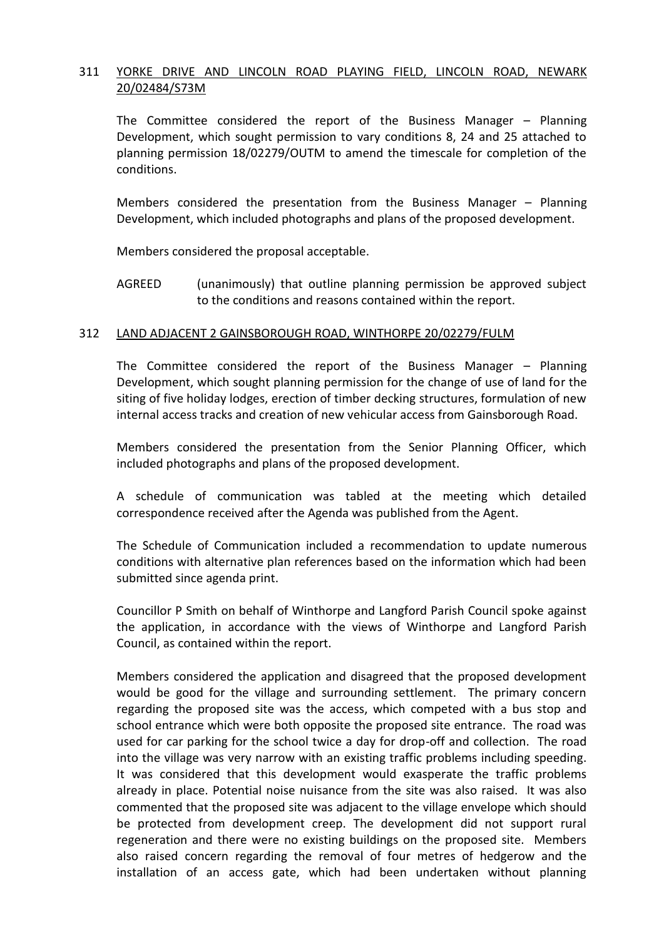## 311 YORKE DRIVE AND LINCOLN ROAD PLAYING FIELD, LINCOLN ROAD, NEWARK 20/02484/S73M

The Committee considered the report of the Business Manager – Planning Development, which sought permission to vary conditions 8, 24 and 25 attached to planning permission 18/02279/OUTM to amend the timescale for completion of the conditions.

Members considered the presentation from the Business Manager – Planning Development, which included photographs and plans of the proposed development.

Members considered the proposal acceptable.

AGREED (unanimously) that outline planning permission be approved subject to the conditions and reasons contained within the report.

#### 312 LAND ADJACENT 2 GAINSBOROUGH ROAD, WINTHORPE 20/02279/FULM

The Committee considered the report of the Business Manager – Planning Development, which sought planning permission for the change of use of land for the siting of five holiday lodges, erection of timber decking structures, formulation of new internal access tracks and creation of new vehicular access from Gainsborough Road.

Members considered the presentation from the Senior Planning Officer, which included photographs and plans of the proposed development.

A schedule of communication was tabled at the meeting which detailed correspondence received after the Agenda was published from the Agent.

The Schedule of Communication included a recommendation to update numerous conditions with alternative plan references based on the information which had been submitted since agenda print.

Councillor P Smith on behalf of Winthorpe and Langford Parish Council spoke against the application, in accordance with the views of Winthorpe and Langford Parish Council, as contained within the report.

Members considered the application and disagreed that the proposed development would be good for the village and surrounding settlement. The primary concern regarding the proposed site was the access, which competed with a bus stop and school entrance which were both opposite the proposed site entrance. The road was used for car parking for the school twice a day for drop-off and collection. The road into the village was very narrow with an existing traffic problems including speeding. It was considered that this development would exasperate the traffic problems already in place. Potential noise nuisance from the site was also raised. It was also commented that the proposed site was adjacent to the village envelope which should be protected from development creep. The development did not support rural regeneration and there were no existing buildings on the proposed site. Members also raised concern regarding the removal of four metres of hedgerow and the installation of an access gate, which had been undertaken without planning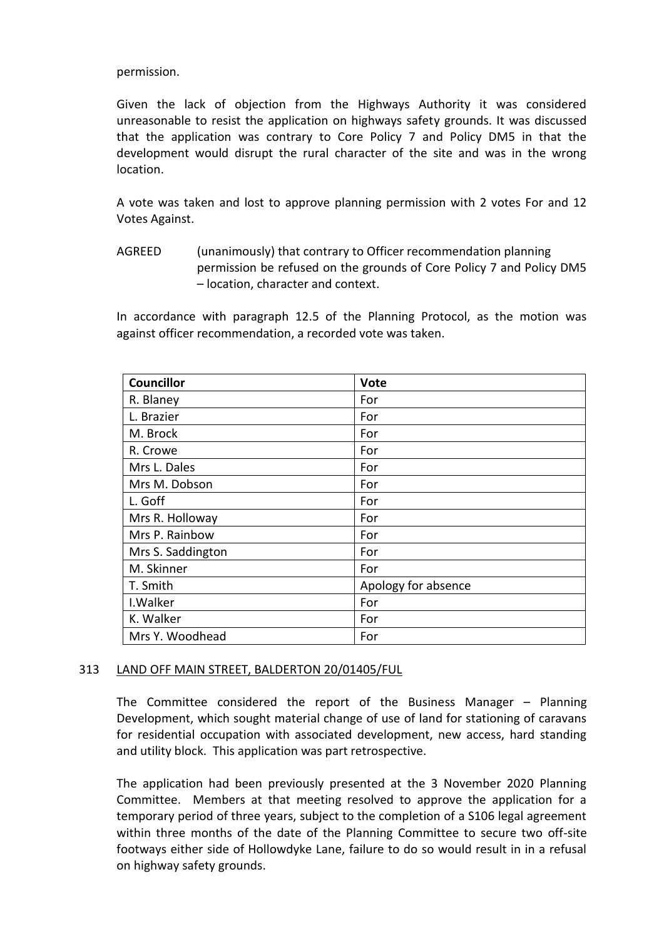#### permission.

Given the lack of objection from the Highways Authority it was considered unreasonable to resist the application on highways safety grounds. It was discussed that the application was contrary to Core Policy 7 and Policy DM5 in that the development would disrupt the rural character of the site and was in the wrong location.

A vote was taken and lost to approve planning permission with 2 votes For and 12 Votes Against.

AGREED (unanimously) that contrary to Officer recommendation planning permission be refused on the grounds of Core Policy 7 and Policy DM5 – location, character and context.

In accordance with paragraph 12.5 of the Planning Protocol, as the motion was against officer recommendation, a recorded vote was taken.

| <b>Councillor</b> | <b>Vote</b>         |
|-------------------|---------------------|
| R. Blaney         | For                 |
| L. Brazier        | For                 |
| M. Brock          | For                 |
| R. Crowe          | For                 |
| Mrs L. Dales      | For                 |
| Mrs M. Dobson     | For                 |
| L. Goff           | For                 |
| Mrs R. Holloway   | For                 |
| Mrs P. Rainbow    | For                 |
| Mrs S. Saddington | For                 |
| M. Skinner        | For                 |
| T. Smith          | Apology for absence |
| I. Walker         | For                 |
| K. Walker         | For                 |
| Mrs Y. Woodhead   | For                 |

## 313 LAND OFF MAIN STREET, BALDERTON 20/01405/FUL

The Committee considered the report of the Business Manager – Planning Development, which sought material change of use of land for stationing of caravans for residential occupation with associated development, new access, hard standing and utility block. This application was part retrospective.

The application had been previously presented at the 3 November 2020 Planning Committee. Members at that meeting resolved to approve the application for a temporary period of three years, subject to the completion of a S106 legal agreement within three months of the date of the Planning Committee to secure two off-site footways either side of Hollowdyke Lane, failure to do so would result in in a refusal on highway safety grounds.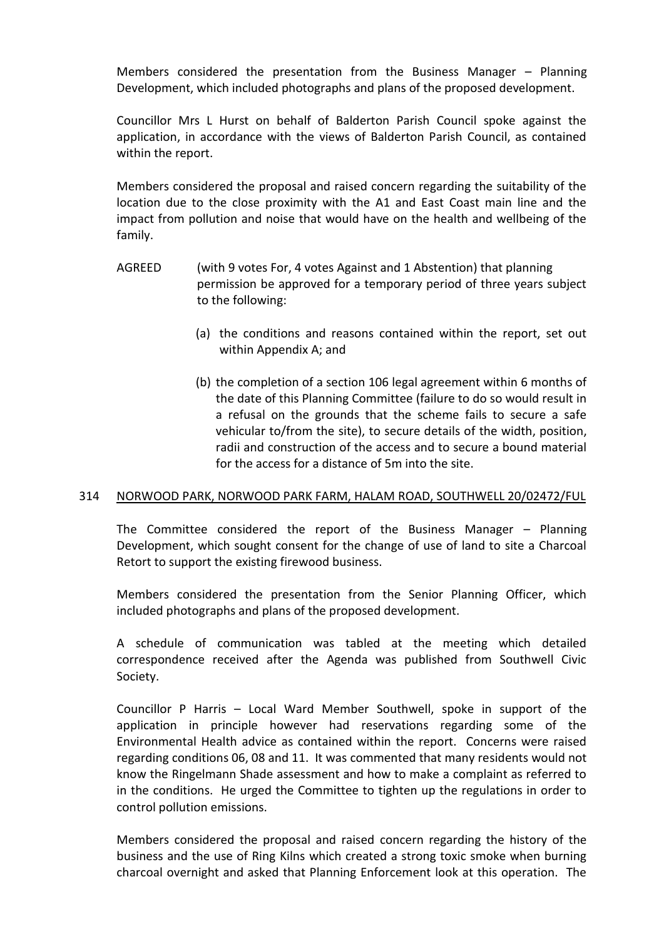Members considered the presentation from the Business Manager – Planning Development, which included photographs and plans of the proposed development.

Councillor Mrs L Hurst on behalf of Balderton Parish Council spoke against the application, in accordance with the views of Balderton Parish Council, as contained within the report.

Members considered the proposal and raised concern regarding the suitability of the location due to the close proximity with the A1 and East Coast main line and the impact from pollution and noise that would have on the health and wellbeing of the family.

- AGREED (with 9 votes For, 4 votes Against and 1 Abstention) that planning permission be approved for a temporary period of three years subject to the following:
	- (a) the conditions and reasons contained within the report, set out within Appendix A; and
	- (b) the completion of a section 106 legal agreement within 6 months of the date of this Planning Committee (failure to do so would result in a refusal on the grounds that the scheme fails to secure a safe vehicular to/from the site), to secure details of the width, position, radii and construction of the access and to secure a bound material for the access for a distance of 5m into the site.

## 314 NORWOOD PARK, NORWOOD PARK FARM, HALAM ROAD, SOUTHWELL 20/02472/FUL

The Committee considered the report of the Business Manager – Planning Development, which sought consent for the change of use of land to site a Charcoal Retort to support the existing firewood business.

Members considered the presentation from the Senior Planning Officer, which included photographs and plans of the proposed development.

A schedule of communication was tabled at the meeting which detailed correspondence received after the Agenda was published from Southwell Civic Society.

Councillor P Harris – Local Ward Member Southwell, spoke in support of the application in principle however had reservations regarding some of the Environmental Health advice as contained within the report. Concerns were raised regarding conditions 06, 08 and 11. It was commented that many residents would not know the Ringelmann Shade assessment and how to make a complaint as referred to in the conditions. He urged the Committee to tighten up the regulations in order to control pollution emissions.

Members considered the proposal and raised concern regarding the history of the business and the use of Ring Kilns which created a strong toxic smoke when burning charcoal overnight and asked that Planning Enforcement look at this operation. The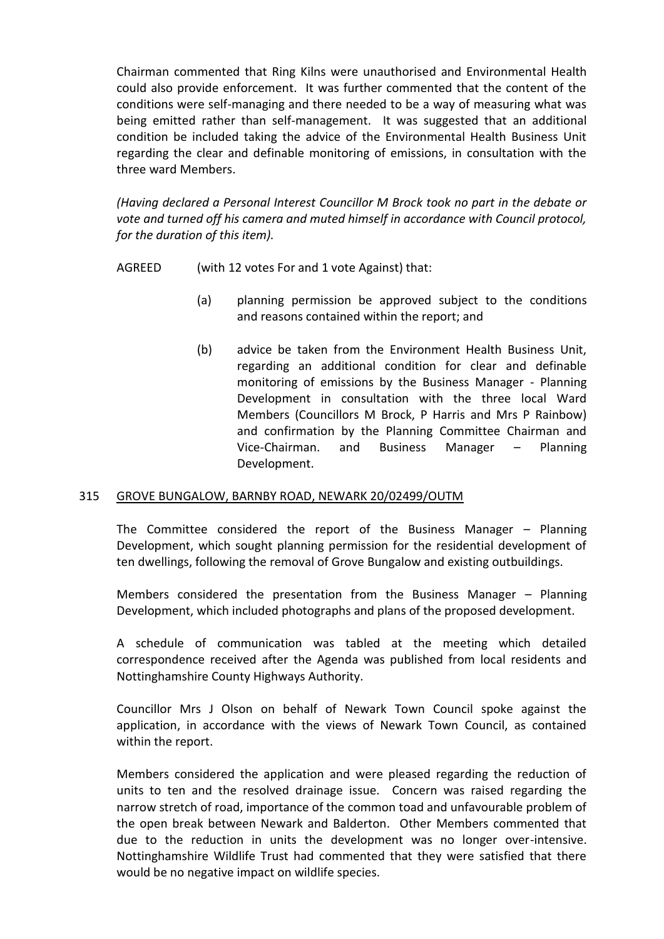Chairman commented that Ring Kilns were unauthorised and Environmental Health could also provide enforcement. It was further commented that the content of the conditions were self-managing and there needed to be a way of measuring what was being emitted rather than self-management. It was suggested that an additional condition be included taking the advice of the Environmental Health Business Unit regarding the clear and definable monitoring of emissions, in consultation with the three ward Members.

*(Having declared a Personal Interest Councillor M Brock took no part in the debate or vote and turned off his camera and muted himself in accordance with Council protocol, for the duration of this item).*

AGREED (with 12 votes For and 1 vote Against) that:

- (a) planning permission be approved subject to the conditions and reasons contained within the report; and
- (b) advice be taken from the Environment Health Business Unit, regarding an additional condition for clear and definable monitoring of emissions by the Business Manager - Planning Development in consultation with the three local Ward Members (Councillors M Brock, P Harris and Mrs P Rainbow) and confirmation by the Planning Committee Chairman and Vice-Chairman. and Business Manager – Planning Development.

## 315 GROVE BUNGALOW, BARNBY ROAD, NEWARK 20/02499/OUTM

The Committee considered the report of the Business Manager – Planning Development, which sought planning permission for the residential development of ten dwellings, following the removal of Grove Bungalow and existing outbuildings.

Members considered the presentation from the Business Manager – Planning Development, which included photographs and plans of the proposed development.

A schedule of communication was tabled at the meeting which detailed correspondence received after the Agenda was published from local residents and Nottinghamshire County Highways Authority.

Councillor Mrs J Olson on behalf of Newark Town Council spoke against the application, in accordance with the views of Newark Town Council, as contained within the report.

Members considered the application and were pleased regarding the reduction of units to ten and the resolved drainage issue. Concern was raised regarding the narrow stretch of road, importance of the common toad and unfavourable problem of the open break between Newark and Balderton. Other Members commented that due to the reduction in units the development was no longer over-intensive. Nottinghamshire Wildlife Trust had commented that they were satisfied that there would be no negative impact on wildlife species.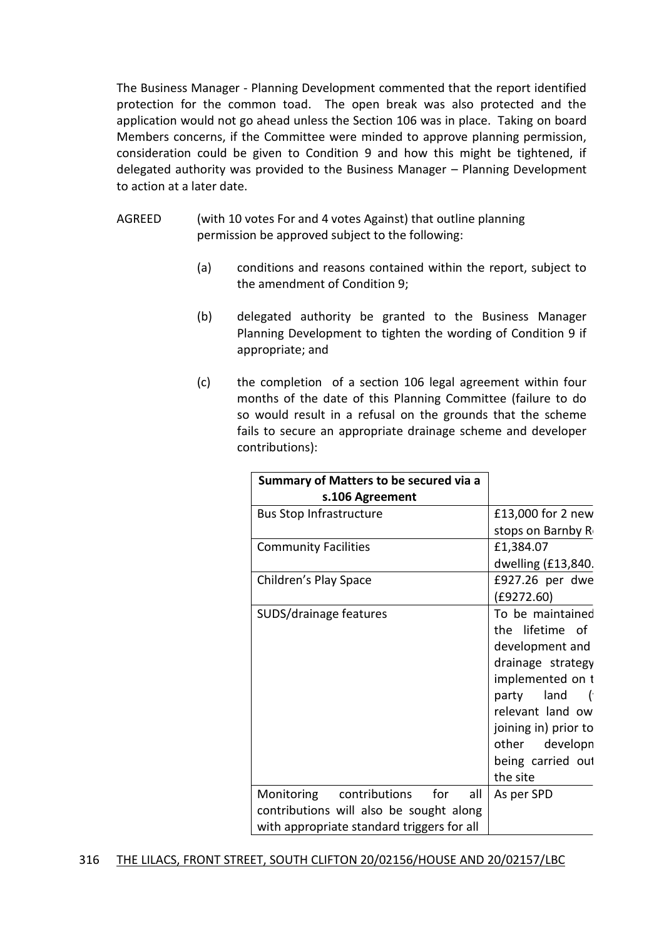The Business Manager - Planning Development commented that the report identified protection for the common toad. The open break was also protected and the application would not go ahead unless the Section 106 was in place. Taking on board Members concerns, if the Committee were minded to approve planning permission, consideration could be given to Condition 9 and how this might be tightened, if delegated authority was provided to the Business Manager – Planning Development to action at a later date.

- AGREED (with 10 votes For and 4 votes Against) that outline planning permission be approved subject to the following:
	- (a) conditions and reasons contained within the report, subject to the amendment of Condition 9;
	- (b) delegated authority be granted to the Business Manager Planning Development to tighten the wording of Condition 9 if appropriate; and
	- (c) the completion of a section 106 legal agreement within four months of the date of this Planning Committee (failure to do so would result in a refusal on the grounds that the scheme fails to secure an appropriate drainage scheme and developer contributions):

| Summary of Matters to be secured via a     |                      |
|--------------------------------------------|----------------------|
| s.106 Agreement                            |                      |
| <b>Bus Stop Infrastructure</b>             | £13,000 for 2 new    |
|                                            | stops on Barnby R    |
| <b>Community Facilities</b>                | £1,384.07            |
|                                            | dwelling (£13,840.   |
| Children's Play Space                      | £927.26 per dwe      |
|                                            | (E9272.60)           |
| SUDS/drainage features                     | To be maintained     |
|                                            | the lifetime of      |
|                                            | development and      |
|                                            | drainage strategy    |
|                                            | implemented on t     |
|                                            | party land (         |
|                                            | relevant land ow     |
|                                            | joining in) prior to |
|                                            | other developn       |
|                                            | being carried out    |
|                                            | the site             |
| for<br>contributions<br>Monitoring<br>all  | As per SPD           |
| contributions will also be sought along    |                      |
| with appropriate standard triggers for all |                      |

## 316 THE LILACS, FRONT STREET, SOUTH CLIFTON 20/02156/HOUSE AND 20/02157/LBC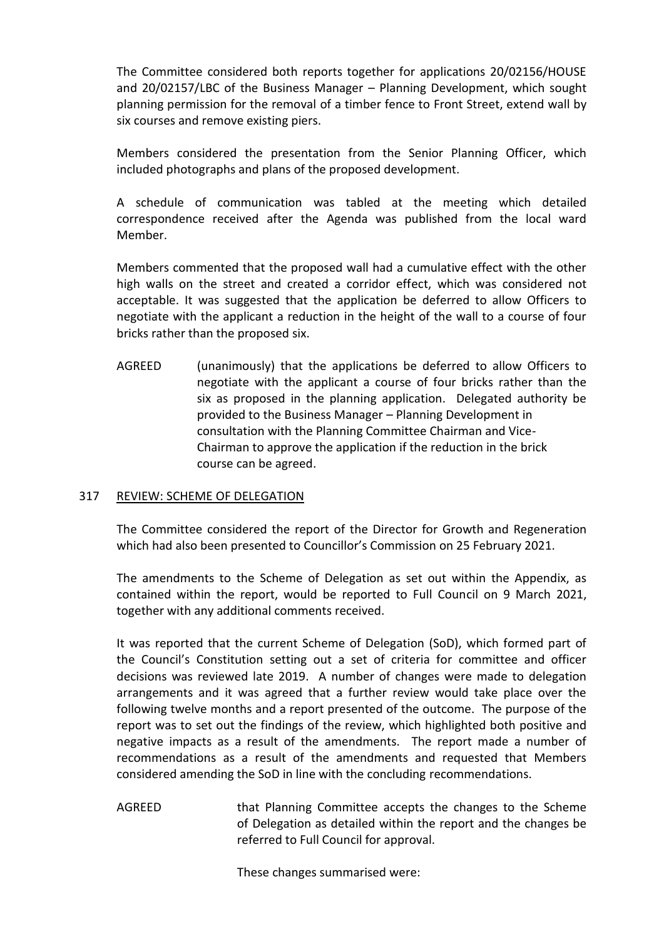The Committee considered both reports together for applications 20/02156/HOUSE and 20/02157/LBC of the Business Manager – Planning Development, which sought planning permission for the removal of a timber fence to Front Street, extend wall by six courses and remove existing piers.

Members considered the presentation from the Senior Planning Officer, which included photographs and plans of the proposed development.

A schedule of communication was tabled at the meeting which detailed correspondence received after the Agenda was published from the local ward Member.

Members commented that the proposed wall had a cumulative effect with the other high walls on the street and created a corridor effect, which was considered not acceptable. It was suggested that the application be deferred to allow Officers to negotiate with the applicant a reduction in the height of the wall to a course of four bricks rather than the proposed six.

AGREED (unanimously) that the applications be deferred to allow Officers to negotiate with the applicant a course of four bricks rather than the six as proposed in the planning application. Delegated authority be provided to the Business Manager – Planning Development in consultation with the Planning Committee Chairman and Vice-Chairman to approve the application if the reduction in the brick course can be agreed.

## 317 REVIEW: SCHEME OF DELEGATION

The Committee considered the report of the Director for Growth and Regeneration which had also been presented to Councillor's Commission on 25 February 2021.

The amendments to the Scheme of Delegation as set out within the Appendix, as contained within the report, would be reported to Full Council on 9 March 2021, together with any additional comments received.

It was reported that the current Scheme of Delegation (SoD), which formed part of the Council's Constitution setting out a set of criteria for committee and officer decisions was reviewed late 2019. A number of changes were made to delegation arrangements and it was agreed that a further review would take place over the following twelve months and a report presented of the outcome. The purpose of the report was to set out the findings of the review, which highlighted both positive and negative impacts as a result of the amendments. The report made a number of recommendations as a result of the amendments and requested that Members considered amending the SoD in line with the concluding recommendations.

AGREED that Planning Committee accepts the changes to the Scheme of Delegation as detailed within the report and the changes be referred to Full Council for approval.

These changes summarised were: